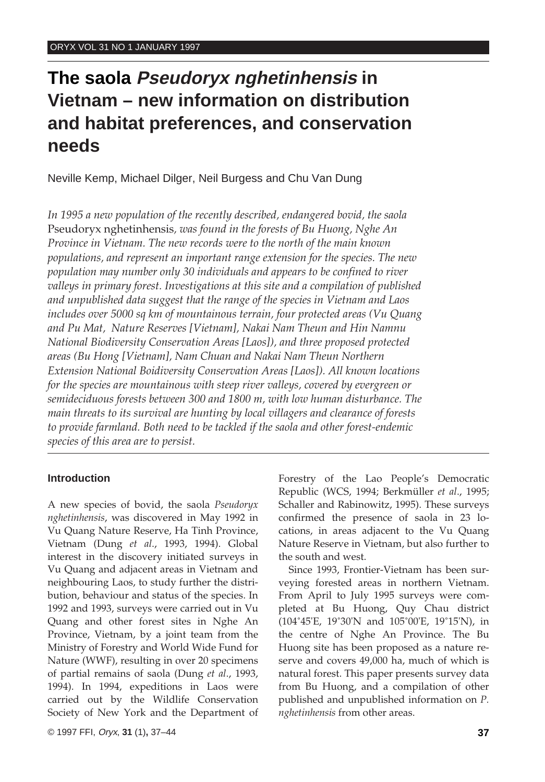# **The saola Pseudoryx nghetinhensis in Vietnam – new information on distribution and habitat preferences, and conservation needs**

Neville Kemp, Michael Dilger, Neil Burgess and Chu Van Dung

*In 1995 a new population of the recently described, endangered bovid, the saola* Pseudoryx nghetinhensis*, was found in the forests of Bu Huong, Nghe An Province in Vietnam. The new records were to the north of the main known populations, and represent an important range extension for the species. The new population may number only 30 individuals and appears to be confined to river valleys in primary forest. Investigations at this site and a compilation of published and unpublished data suggest that the range of the species in Vietnam and Laos includes over 5000 sq km of mountainous terrain, four protected areas (Vu Quang and Pu Mat, Nature Reserves [Vietnam], Nakai Nam Theun and Hin Namnu National Biodiversity Conservation Areas [Laos]), and three proposed protected areas (Bu Hong [Vietnam], Nam Chuan and Nakai Nam Theun Northern Extension National Boidiversity Conservation Areas [Laos]). All known locations for the species are mountainous with steep river valleys, covered by evergreen or semideciduous forests between 300 and 1800 m, with low human disturbance. The main threats to its survival are hunting by local villagers and clearance of forests to provide farmland. Both need to be tackled if the saola and other forest-endemic species of this area are to persist.*

#### **Introduction**

A new species of bovid, the saola *Pseudoryx nghetinhensis*, was discovered in May 1992 in Vu Quang Nature Reserve, Ha Tinh Province, Vietnam (Dung *et al*., 1993, 1994). Global interest in the discovery initiated surveys in Vu Quang and adjacent areas in Vietnam and neighbouring Laos, to study further the distribution, behaviour and status of the species. In 1992 and 1993, surveys were carried out in Vu Quang and other forest sites in Nghe An Province, Vietnam, by a joint team from the Ministry of Forestry and World Wide Fund for Nature (WWF), resulting in over 20 specimens of partial remains of saola (Dung *et al*., 1993, 1994). In 1994, expeditions in Laos were carried out by the Wildlife Conservation Society of New York and the Department of

© 1997 FFI, Oryx, **31** (1)**,** 37–44

Forestry of the Lao People's Democratic Republic (WCS, 1994; Berkmüller *et al*., 1995; Schaller and Rabinowitz, 1995). These surveys confirmed the presence of saola in 23 locations, in areas adjacent to the Vu Quang Nature Reserve in Vietnam, but also further to the south and west.

Since 1993, Frontier-Vietnam has been surveying forested areas in northern Vietnam. From April to July 1995 surveys were completed at Bu Huong, Quy Chau district (104˚45'E, 19˚30'N and 105˚00'E, 19˚15'N), in the centre of Nghe An Province. The Bu Huong site has been proposed as a nature reserve and covers 49,000 ha, much of which is natural forest. This paper presents survey data from Bu Huong, and a compilation of other published and unpublished information on *P. nghetinhensis* from other areas.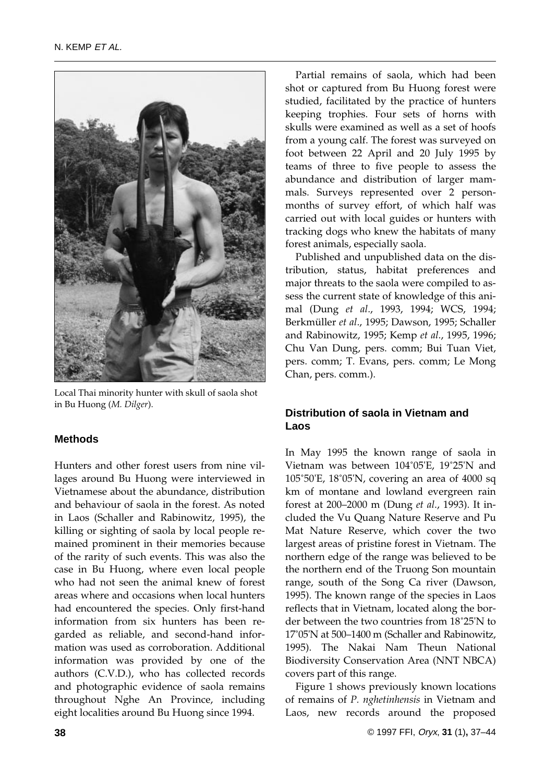

Local Thai minority hunter with skull of saola shot in Bu Huong (*M. Dilger*).

#### **Methods**

Hunters and other forest users from nine villages around Bu Huong were interviewed in Vietnamese about the abundance, distribution and behaviour of saola in the forest. As noted in Laos (Schaller and Rabinowitz, 1995), the killing or sighting of saola by local people remained prominent in their memories because of the rarity of such events. This was also the case in Bu Huong, where even local people who had not seen the animal knew of forest areas where and occasions when local hunters had encountered the species. Only first-hand information from six hunters has been regarded as reliable, and second-hand information was used as corroboration. Additional information was provided by one of the authors (C.V.D.), who has collected records and photographic evidence of saola remains throughout Nghe An Province, including eight localities around Bu Huong since 1994.

Partial remains of saola, which had been shot or captured from Bu Huong forest were studied, facilitated by the practice of hunters keeping trophies. Four sets of horns with skulls were examined as well as a set of hoofs from a young calf. The forest was surveyed on foot between 22 April and 20 July 1995 by teams of three to five people to assess the abundance and distribution of larger mammals. Surveys represented over 2 personmonths of survey effort, of which half was carried out with local guides or hunters with tracking dogs who knew the habitats of many forest animals, especially saola.

Published and unpublished data on the distribution, status, habitat preferences and major threats to the saola were compiled to assess the current state of knowledge of this animal (Dung *et al*., 1993, 1994; WCS, 1994; Berkmüller *et al*., 1995; Dawson, 1995; Schaller and Rabinowitz, 1995; Kemp *et al*., 1995, 1996; Chu Van Dung, pers. comm; Bui Tuan Viet, pers. comm; T. Evans, pers. comm; Le Mong Chan, pers. comm.).

## **Distribution of saola in Vietnam and Laos**

In May 1995 the known range of saola in Vietnam was between 104˚05'E, 19˚25'N and 105˚50'E, 18˚05'N, covering an area of 4000 sq km of montane and lowland evergreen rain forest at 200–2000 m (Dung *et al*., 1993). It included the Vu Quang Nature Reserve and Pu Mat Nature Reserve, which cover the two largest areas of pristine forest in Vietnam. The northern edge of the range was believed to be the northern end of the Truong Son mountain range, south of the Song Ca river (Dawson, 1995). The known range of the species in Laos reflects that in Vietnam, located along the border between the two countries from 18˚25'N to 17˚05'N at 500–1400 m (Schaller and Rabinowitz, 1995). The Nakai Nam Theun National Biodiversity Conservation Area (NNT NBCA) covers part of this range.

Figure 1 shows previously known locations of remains of *P. nghetinhensis* in Vietnam and Laos, new records around the proposed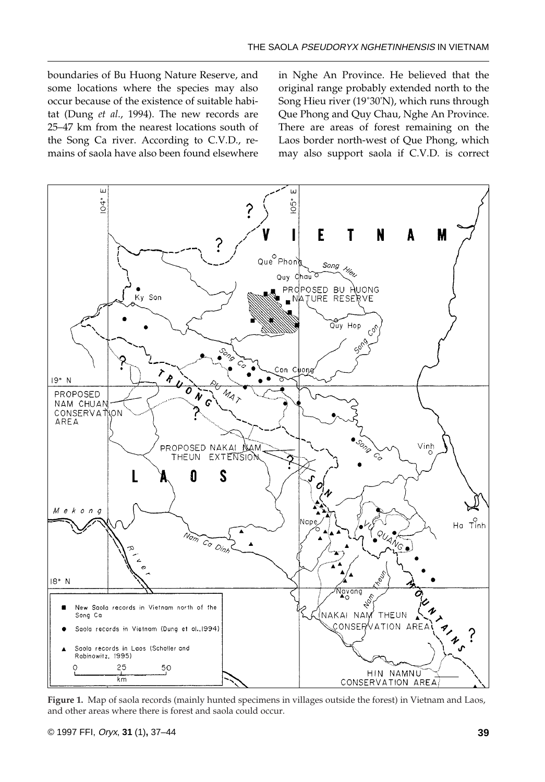boundaries of Bu Huong Nature Reserve, and some locations where the species may also occur because of the existence of suitable habitat (Dung *et al*., 1994). The new records are 25–47 km from the nearest locations south of the Song Ca river. According to C.V.D., remains of saola have also been found elsewhere in Nghe An Province. He believed that the original range probably extended north to the Song Hieu river (19˚30'N), which runs through Que Phong and Quy Chau, Nghe An Province. There are areas of forest remaining on the Laos border north-west of Que Phong, which may also support saola if C.V.D. is correct



**Figure 1.** Map of saola records (mainly hunted specimens in villages outside the forest) in Vietnam and Laos, and other areas where there is forest and saola could occur.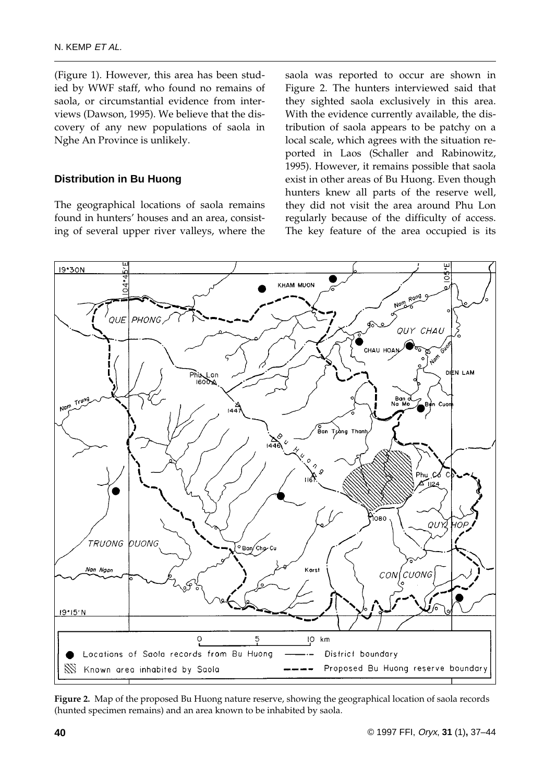(Figure 1). However, this area has been studied by WWF staff, who found no remains of saola, or circumstantial evidence from interviews (Dawson, 1995). We believe that the discovery of any new populations of saola in Nghe An Province is unlikely.

#### **Distribution in Bu Huong**

The geographical locations of saola remains found in hunters' houses and an area, consisting of several upper river valleys, where the saola was reported to occur are shown in Figure 2. The hunters interviewed said that they sighted saola exclusively in this area. With the evidence currently available, the distribution of saola appears to be patchy on a local scale, which agrees with the situation reported in Laos (Schaller and Rabinowitz, 1995). However, it remains possible that saola exist in other areas of Bu Huong. Even though hunters knew all parts of the reserve well, they did not visit the area around Phu Lon regularly because of the difficulty of access. The key feature of the area occupied is its



**Figure 2.** Map of the proposed Bu Huong nature reserve, showing the geographical location of saola records (hunted specimen remains) and an area known to be inhabited by saola.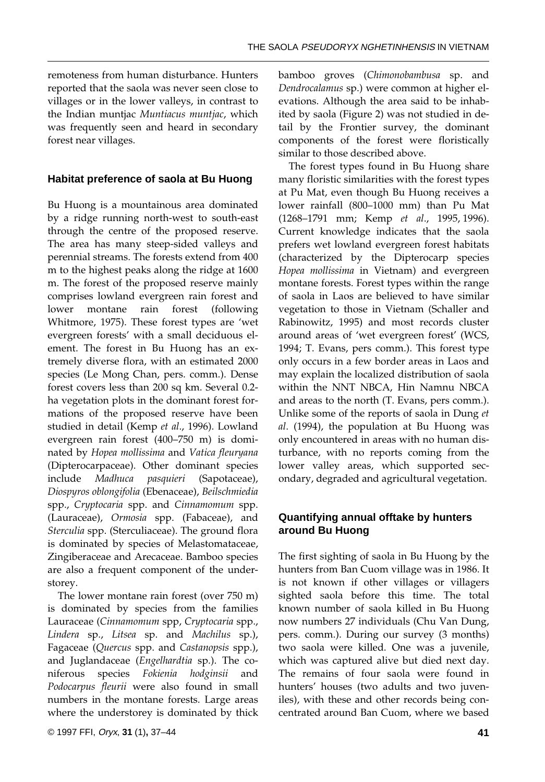remoteness from human disturbance. Hunters reported that the saola was never seen close to villages or in the lower valleys, in contrast to the Indian muntjac *Muntiacus muntjac*, which was frequently seen and heard in secondary forest near villages.

## **Habitat preference of saola at Bu Huong**

Bu Huong is a mountainous area dominated by a ridge running north-west to south-east through the centre of the proposed reserve. The area has many steep-sided valleys and perennial streams. The forests extend from 400 m to the highest peaks along the ridge at 1600 m. The forest of the proposed reserve mainly comprises lowland evergreen rain forest and lower montane rain forest (following Whitmore, 1975). These forest types are 'wet evergreen forests' with a small deciduous element. The forest in Bu Huong has an extremely diverse flora, with an estimated 2000 species (Le Mong Chan, pers. comm.). Dense forest covers less than 200 sq km. Several 0.2 ha vegetation plots in the dominant forest formations of the proposed reserve have been studied in detail (Kemp *et al*., 1996). Lowland evergreen rain forest (400–750 m) is dominated by *Hopea mollissima* and *Vatica fleuryana* (Dipterocarpaceae). Other dominant species include *Madhuca pasquieri* (Sapotaceae), *Diospyros oblongifolia* (Ebenaceae), *Beilschmiedia* spp., *Cryptocaria* spp. and *Cinnamomum* spp. (Lauraceae), *Ormosia* spp. (Fabaceae), and *Sterculia* spp. (Sterculiaceae). The ground flora is dominated by species of Melastomataceae, Zingiberaceae and Arecaceae. Bamboo species are also a frequent component of the understorey.

The lower montane rain forest (over 750 m) is dominated by species from the families Lauraceae (*Cinnamomum* spp, *Cryptocaria* spp., *Lindera* sp., *Litsea* sp. and *Machilus* sp.), Fagaceae (*Quercus* spp. and *Castanopsis* spp.), and Juglandaceae (*Engelhardtia* sp.). The coniferous species *Fokienia hodginsii* and *Podocarpus fleurii* were also found in small numbers in the montane forests. Large areas where the understorey is dominated by thick

© 1997 FFI, Oryx, **31** (1)**,** 37–44 **41**

bamboo groves (*Chimonobambusa* sp. and *Dendrocalamus* sp.) were common at higher elevations. Although the area said to be inhabited by saola (Figure 2) was not studied in detail by the Frontier survey, the dominant components of the forest were floristically similar to those described above.

The forest types found in Bu Huong share many floristic similarities with the forest types at Pu Mat, even though Bu Huong receives a lower rainfall (800–1000 mm) than Pu Mat (1268–1791 mm; Kemp *et al*., 1995, 1996). Current knowledge indicates that the saola prefers wet lowland evergreen forest habitats (characterized by the Dipterocarp species *Hopea mollissima* in Vietnam) and evergreen montane forests. Forest types within the range of saola in Laos are believed to have similar vegetation to those in Vietnam (Schaller and Rabinowitz, 1995) and most records cluster around areas of 'wet evergreen forest' (WCS, 1994; T. Evans, pers comm.). This forest type only occurs in a few border areas in Laos and may explain the localized distribution of saola within the NNT NBCA, Hin Namnu NBCA and areas to the north (T. Evans, pers comm.). Unlike some of the reports of saola in Dung *et al*. (1994), the population at Bu Huong was only encountered in areas with no human disturbance, with no reports coming from the lower valley areas, which supported secondary, degraded and agricultural vegetation.

#### **Quantifying annual offtake by hunters around Bu Huong**

The first sighting of saola in Bu Huong by the hunters from Ban Cuom village was in 1986. It is not known if other villages or villagers sighted saola before this time. The total known number of saola killed in Bu Huong now numbers 27 individuals (Chu Van Dung, pers. comm.). During our survey (3 months) two saola were killed. One was a juvenile, which was captured alive but died next day. The remains of four saola were found in hunters' houses (two adults and two juveniles), with these and other records being concentrated around Ban Cuom, where we based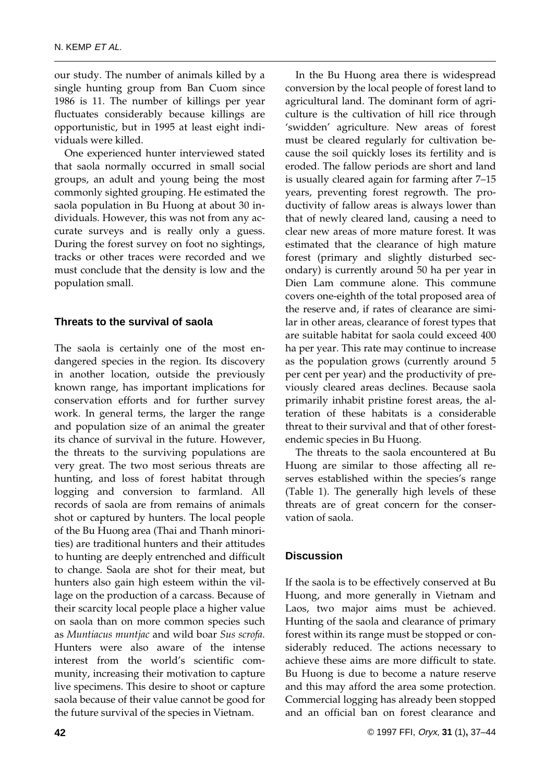our study. The number of animals killed by a single hunting group from Ban Cuom since 1986 is 11. The number of killings per year fluctuates considerably because killings are opportunistic, but in 1995 at least eight individuals were killed.

One experienced hunter interviewed stated that saola normally occurred in small social groups, an adult and young being the most commonly sighted grouping. He estimated the saola population in Bu Huong at about 30 individuals. However, this was not from any accurate surveys and is really only a guess. During the forest survey on foot no sightings, tracks or other traces were recorded and we must conclude that the density is low and the population small.

#### **Threats to the survival of saola**

The saola is certainly one of the most endangered species in the region. Its discovery in another location, outside the previously known range, has important implications for conservation efforts and for further survey work. In general terms, the larger the range and population size of an animal the greater its chance of survival in the future. However, the threats to the surviving populations are very great. The two most serious threats are hunting, and loss of forest habitat through logging and conversion to farmland. All records of saola are from remains of animals shot or captured by hunters. The local people of the Bu Huong area (Thai and Thanh minorities) are traditional hunters and their attitudes to hunting are deeply entrenched and difficult to change. Saola are shot for their meat, but hunters also gain high esteem within the village on the production of a carcass. Because of their scarcity local people place a higher value on saola than on more common species such as *Muntiacus muntjac* and wild boar *Sus scrofa*. Hunters were also aware of the intense interest from the world's scientific community, increasing their motivation to capture live specimens. This desire to shoot or capture saola because of their value cannot be good for the future survival of the species in Vietnam.

In the Bu Huong area there is widespread conversion by the local people of forest land to agricultural land. The dominant form of agriculture is the cultivation of hill rice through 'swidden' agriculture. New areas of forest must be cleared regularly for cultivation because the soil quickly loses its fertility and is eroded. The fallow periods are short and land is usually cleared again for farming after 7–15 years, preventing forest regrowth. The productivity of fallow areas is always lower than that of newly cleared land, causing a need to clear new areas of more mature forest. It was estimated that the clearance of high mature forest (primary and slightly disturbed secondary) is currently around 50 ha per year in Dien Lam commune alone. This commune covers one-eighth of the total proposed area of the reserve and, if rates of clearance are similar in other areas, clearance of forest types that are suitable habitat for saola could exceed 400 ha per year. This rate may continue to increase as the population grows (currently around 5 per cent per year) and the productivity of previously cleared areas declines. Because saola primarily inhabit pristine forest areas, the alteration of these habitats is a considerable threat to their survival and that of other forestendemic species in Bu Huong.

The threats to the saola encountered at Bu Huong are similar to those affecting all reserves established within the species's range (Table 1). The generally high levels of these threats are of great concern for the conservation of saola.

## **Discussion**

If the saola is to be effectively conserved at Bu Huong, and more generally in Vietnam and Laos, two major aims must be achieved. Hunting of the saola and clearance of primary forest within its range must be stopped or considerably reduced. The actions necessary to achieve these aims are more difficult to state. Bu Huong is due to become a nature reserve and this may afford the area some protection. Commercial logging has already been stopped and an official ban on forest clearance and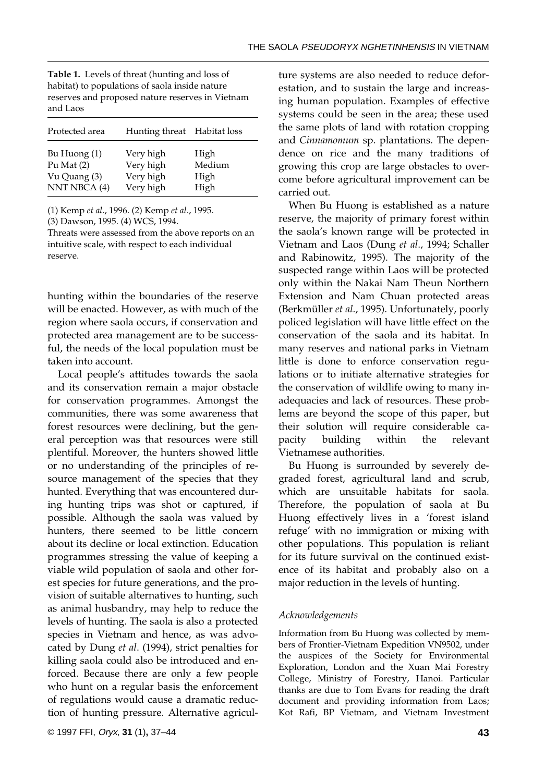| and Laos       |                             |        |
|----------------|-----------------------------|--------|
| Protected area | Hunting threat Habitat loss |        |
| Bu Huong (1)   | Very high                   | High   |
| Pu Mat $(2)$   | Very high                   | Medium |
| Vu Quang (3)   | Very high                   | High   |
| NNT NBCA (4)   | Very high                   | High   |

**Table 1.** Levels of threat (hunting and loss of habitat) to populations of saola inside nature reserves and proposed nature reserves in Vietnam

(1) Kemp *et al*., 1996. (2) Kemp *et al*., 1995.

(3) Dawson, 1995. (4) WCS, 1994.

Threats were assessed from the above reports on an intuitive scale, with respect to each individual reserve.

hunting within the boundaries of the reserve will be enacted. However, as with much of the region where saola occurs, if conservation and protected area management are to be successful, the needs of the local population must be taken into account.

Local people's attitudes towards the saola and its conservation remain a major obstacle for conservation programmes. Amongst the communities, there was some awareness that forest resources were declining, but the general perception was that resources were still plentiful. Moreover, the hunters showed little or no understanding of the principles of resource management of the species that they hunted. Everything that was encountered during hunting trips was shot or captured, if possible. Although the saola was valued by hunters, there seemed to be little concern about its decline or local extinction. Education programmes stressing the value of keeping a viable wild population of saola and other forest species for future generations, and the provision of suitable alternatives to hunting, such as animal husbandry, may help to reduce the levels of hunting. The saola is also a protected species in Vietnam and hence, as was advocated by Dung *et al*. (1994), strict penalties for killing saola could also be introduced and enforced. Because there are only a few people who hunt on a regular basis the enforcement of regulations would cause a dramatic reduction of hunting pressure. Alternative agricul-

© 1997 FFI, Oryx, **31** (1)**,** 37–44 **43**

ture systems are also needed to reduce deforestation, and to sustain the large and increasing human population. Examples of effective systems could be seen in the area; these used the same plots of land with rotation cropping and *Cinnamomum* sp. plantations. The dependence on rice and the many traditions of growing this crop are large obstacles to overcome before agricultural improvement can be carried out.

When Bu Huong is established as a nature reserve, the majority of primary forest within the saola's known range will be protected in Vietnam and Laos (Dung *et al*., 1994; Schaller and Rabinowitz, 1995). The majority of the suspected range within Laos will be protected only within the Nakai Nam Theun Northern Extension and Nam Chuan protected areas (Berkmüller *et al*., 1995). Unfortunately, poorly policed legislation will have little effect on the conservation of the saola and its habitat. In many reserves and national parks in Vietnam little is done to enforce conservation regulations or to initiate alternative strategies for the conservation of wildlife owing to many inadequacies and lack of resources. These problems are beyond the scope of this paper, but their solution will require considerable capacity building within the relevant Vietnamese authorities.

Bu Huong is surrounded by severely degraded forest, agricultural land and scrub, which are unsuitable habitats for saola. Therefore, the population of saola at Bu Huong effectively lives in a 'forest island refuge' with no immigration or mixing with other populations. This population is reliant for its future survival on the continued existence of its habitat and probably also on a major reduction in the levels of hunting.

#### *Acknowledgements*

Information from Bu Huong was collected by members of Frontier-Vietnam Expedition VN9502, under the auspices of the Society for Environmental Exploration, London and the Xuan Mai Forestry College, Ministry of Forestry, Hanoi. Particular thanks are due to Tom Evans for reading the draft document and providing information from Laos; Kot Rafi, BP Vietnam, and Vietnam Investment